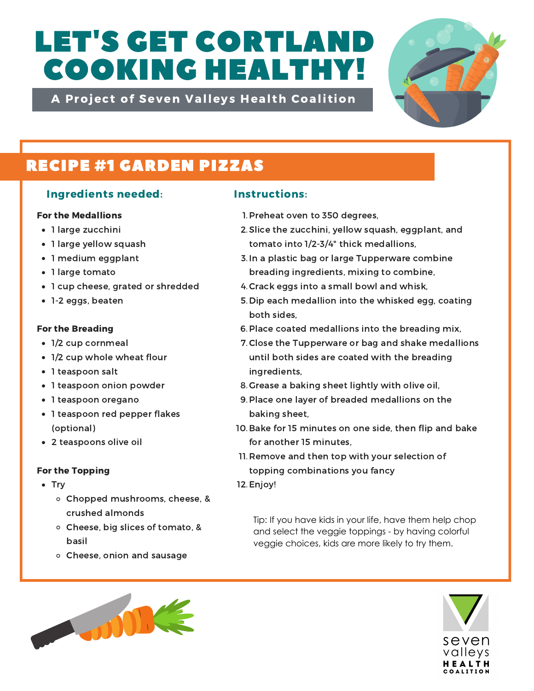# LET'S GET CORTLAND COOKING HEALTHY!

A Project of Seven Valleys Health Coalition



## RECIPE #1 GARDEN PIZZAS

## Ingredients needed: Instructions:

### For the Medallions

- 1 large zucchini
- 1 large yellow squash
- 1 medium eggplant
- 1 large tomato
- 1 cup cheese, grated or shredded
- 1-2 eggs, beaten

### For the Breading

- 1/2 cup cornmeal
- 1/2 cup whole wheat flour
- 1 teaspoon salt
- 1 teaspoon onion powder
- 1 teaspoon oregano
- 1 teaspoon red pepper flakes (optional)
- 2 teaspoons olive oil

### For the Topping

- Try
	- Chopped mushrooms, cheese, & crushed almonds
	- Cheese, big slices of tomato, & basil
	- Cheese, onion and sausage

- 1. Preheat oven to 350 degrees,
- 2. Slice the zucchini, yellow squash, eggplant, and tomato into 1/2-3/4" thick medallions,
- 3. In a plastic bag or large Tupperware combine breading ingredients, mixing to combine,
- 4. Crack eggs into a small bowl and whisk,
- 5. Dip each medallion into the whisked egg, coating both sides,
- 6. Place coated medallions into the breading mix,
- 7. Close the Tupperware or bag and shake medallions until both sides are coated with the breading ingredients,
- 8. Grease a baking sheet lightly with olive oil,
- Place one layer of breaded medallions on the 9. baking sheet,
- 10. Bake for 15 minutes on one side, then flip and bake for another 15 minutes,
- 11. Remove and then top with your selection of topping combinations you fancy
- 12. Enjoy!

Tip: If you have kids in your life, have them help chop and select the veggie toppings - by having colorful veggie choices, kids are more likely to try them.



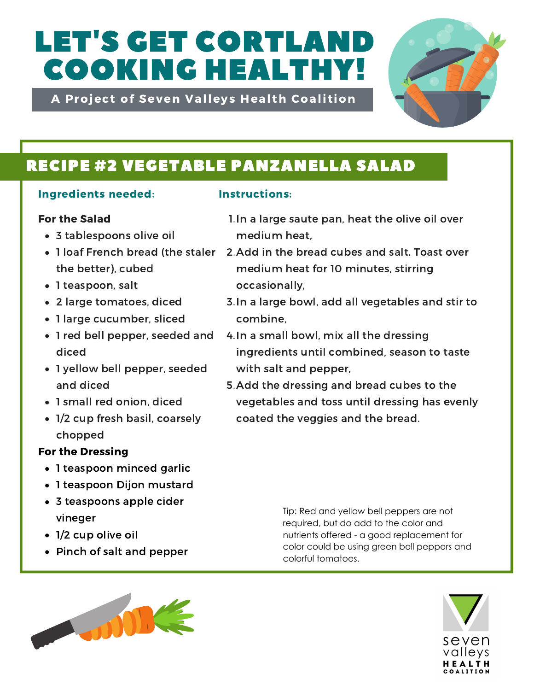# LET'S GET CORTLAND COOKING HEALTHY!

A Project of Seven Valleys Health Coalition



## RECIPE #2 VEGETABLE PANZANELLA SALAD

## Ingredients needed: Instructions:

## For the Salad

- 3 tablespoons olive oil
- the better), cubed
- 1 teaspoon, salt
- 2 large tomatoes, diced
- 1 large cucumber, sliced
- 1 red bell pepper, seeded and diced
- 1 yellow bell pepper, seeded and diced
- 1 small red onion, diced
- 1/2 cup fresh basil, coarsely chopped

## For the Dressing

- 1 teaspoon minced garlic
- 1 teaspoon Dijon mustard
- 3 teaspoons apple cider vineger
- 1/2 cup olive oil
- Pinch of salt and pepper
- 1. In a large saute pan, heat the olive oil over medium heat,
- 1 loaf French bread (the staler 2. Add in the bread cubes and salt. Toast over medium heat for 10 minutes, stirring occasionally,
	- 3. In a large bowl, add all vegetables and stir to combine,
	- 4. In a small bowl, mix all the dressing ingredients until combined, season to taste with salt and pepper,
	- 5. Add the dressing and bread cubes to the vegetables and toss until dressing has evenly coated the veggies and the bread.

Tip: Red and yellow bell peppers are not required, but do add to the color and nutrients offered - a good replacement for color could be using green bell peppers and colorful tomatoes.